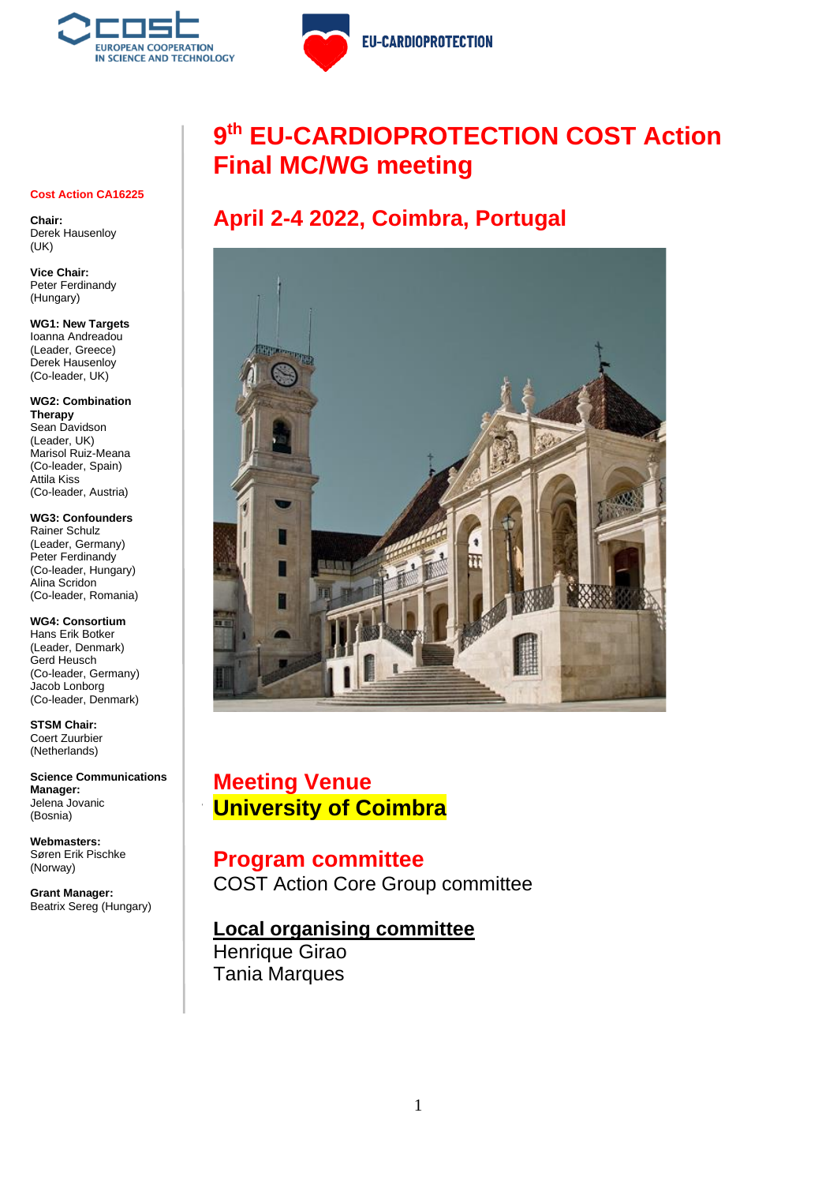

**EU-CARDIOPROTECTION** 

# **9 th EU-CARDIOPROTECTION COST Action Final MC/WG meeting**

# **April 2-4 2022, Coimbra, Portugal**



**L** University of Coimbra **Meeting Venue**

#### 8:00-8:30 Registration **Program committee**

**COST Action Core Group committee** Derek Hausenloy, Ioanna Andreadou, Peter Ferdinand Robalo-Cordeiro

# **Local organising committee**

Henrique Girao Tania Marques

#### **Cost Action CA16225**

**Chair:** Derek Hausenloy (UK)

**Vice Chair:** Peter Ferdinandy (Hungary)

**WG1: New Targets** Ioanna Andreadou (Leader, Greece) Derek Hausenloy (Co-leader, UK)

**WG2: Combination Therapy** Sean Davidson (Leader, UK) Marisol Ruiz-Meana (Co-leader, Spain) Attila Kiss (Co-leader, Austria)

**WG3: Confounders** Rainer Schulz (Leader, Germany) Peter Ferdinandy (Co-leader, Hungary) Alina Scridon (Co-leader, Romania)

**WG4: Consortium** Hans Erik Botker (Leader, Denmark) Gerd Heusch (Co-leader, Germany) Jacob Lonborg (Co-leader, Denmark)

**STSM Chair:**  Coert Zuurbier (Netherlands)

**Science Communications Manager:** Jelena Jovanic (Bosnia)

**Webmasters:** Søren Erik Pischke (Norway)

**Grant Manager:** Beatrix Sereg (Hungary)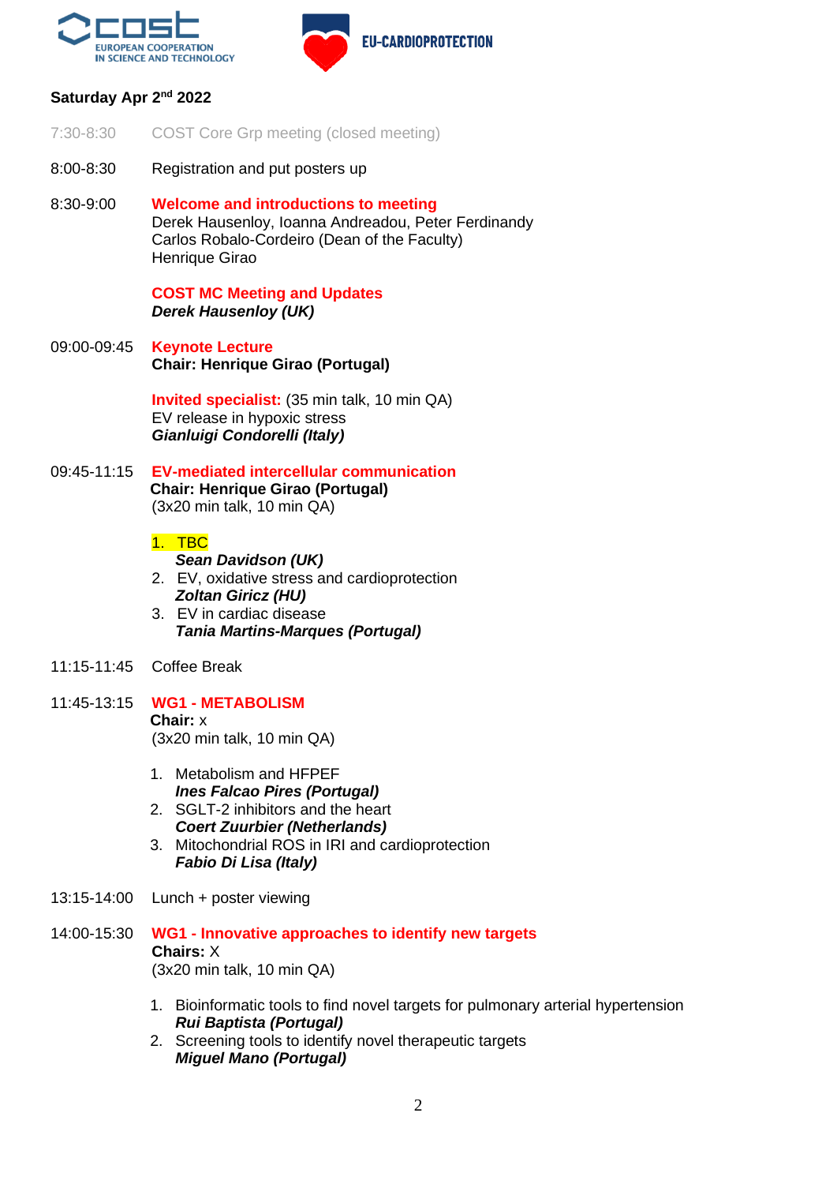

**EU-CARDIOPROTECTION** 

## Saturday Apr 2<sup>nd</sup> 2022

- 7:30-8:30 COST Core Grp meeting (closed meeting)
- 8:00-8:30 Registration and put posters up
- 8:30-9:00 **Welcome and introductions to meeting** Derek Hausenloy, Ioanna Andreadou, Peter Ferdinandy Carlos Robalo-Cordeiro (Dean of the Faculty) Henrique Girao

**COST MC Meeting and Updates** *Derek Hausenloy (UK)*

09:00-09:45 **Keynote Lecture Chair: Henrique Girao (Portugal)**

> **Invited specialist:** (35 min talk, 10 min QA) EV release in hypoxic stress *Gianluigi Condorelli (Italy)*

09:45-11:15 **EV-mediated intercellular communication Chair: Henrique Girao (Portugal)** (3x20 min talk, 10 min QA)

#### 1. TBC

*Sean Davidson (UK)*

- 2. EV, oxidative stress and cardioprotection *Zoltan Giricz (HU)* 3. EV in cardiac disease
- *Tania Martins-Marques (Portugal)*
- 11:15-11:45 Coffee Break
- 11:45-13:15 **WG1 - METABOLISM Chair:** x (3x20 min talk, 10 min QA)
	- 1. Metabolism and HFPEF *Ines Falcao Pires (Portugal)*
	- 2. SGLT-2 inhibitors and the heart *Coert Zuurbier (Netherlands)*
	- 3. Mitochondrial ROS in IRI and cardioprotection *Fabio Di Lisa (Italy)*
- 13:15-14:00 Lunch + poster viewing
- 14:00-15:30 **WG1 - Innovative approaches to identify new targets Chairs:** X (3x20 min talk, 10 min QA)
	- 1. Bioinformatic tools to find novel targets for pulmonary arterial hypertension *Rui Baptista (Portugal)*
	- 2. Screening tools to identify novel therapeutic targets *Miguel Mano (Portugal)*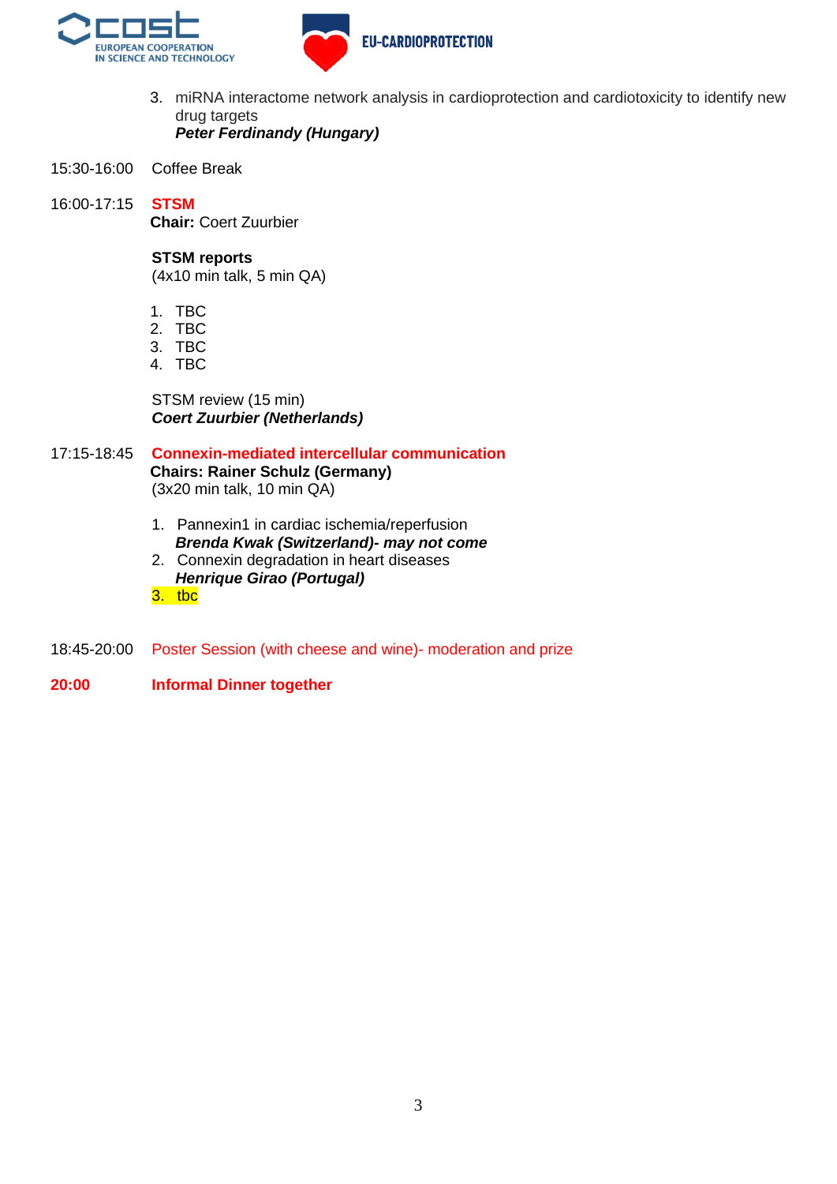



- 3. miRNA interactome network analysis in cardioprotection and cardiotoxicity to identify new drug targets *Peter Ferdinandy (Hungary)*
- 15:30-16:00 Coffee Break

16:00-17:15 **STSM** 

**Chair:** Coert Zuurbier

#### **STSM reports**

(4x10 min talk, 5 min QA)

- 1. TBC
- 2. TBC
- 3. TBC
- 4. TBC

STSM review (15 min) *Coert Zuurbier (Netherlands)*

17:15-18:45 **Connexin-mediated intercellular communication Chairs: Rainer Schulz (Germany)** (3x20 min talk, 10 min QA)

- 1. Pannexin1 in cardiac ischemia/reperfusion *Brenda Kwak (Switzerland)- may not come*
- 2. Connexin degradation in heart diseases *Henrique Girao (Portugal)*
- 3. tbc
- 18:45-20:00 Poster Session (with cheese and wine)- moderation and prize
- **20:00 Informal Dinner together**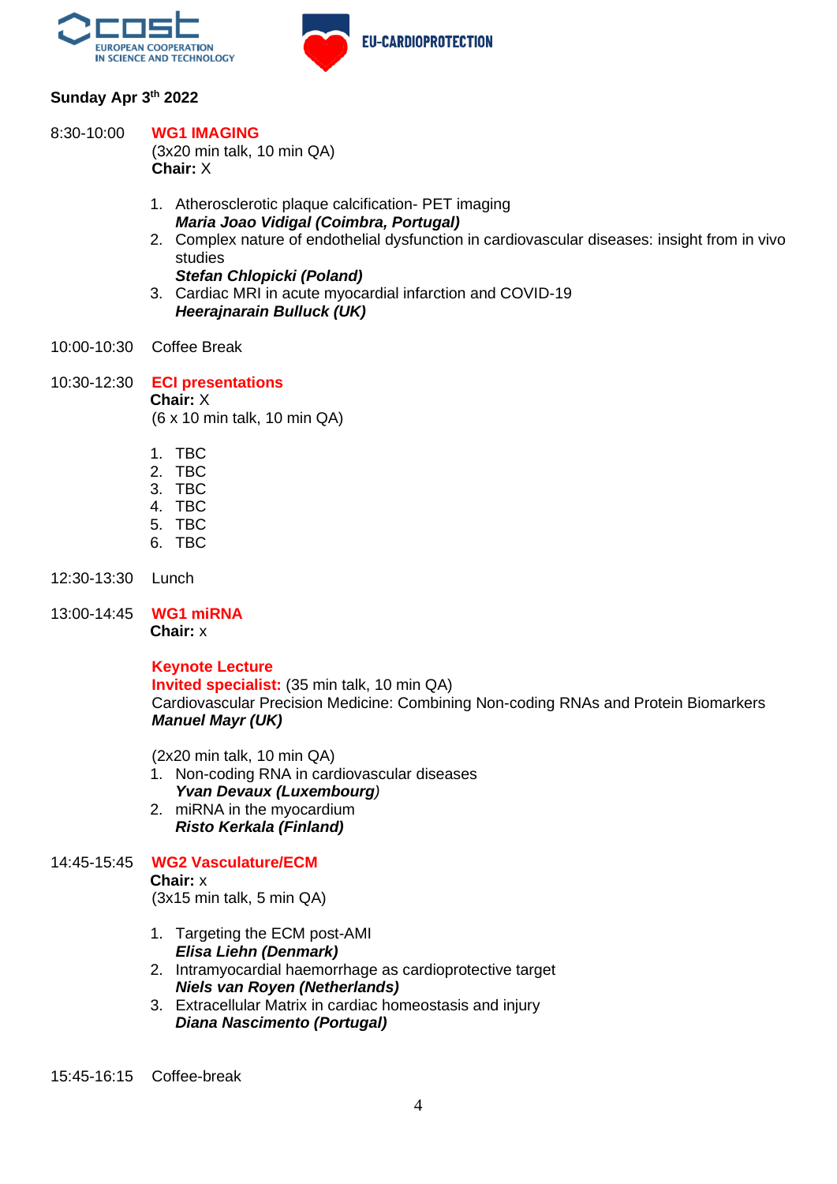

## **Sunday Apr 3 th 2022**

#### 8:30-10:00 **WG1 IMAGING**

(3x20 min talk, 10 min QA) **Chair:** X

- 1. Atherosclerotic plaque calcification- PET imaging *Maria Joao Vidigal (Coimbra, Portugal)*
- 2. Complex nature of endothelial dysfunction in cardiovascular diseases: insight from in vivo studies

*Stefan Chlopicki (Poland)* 

- 3. Cardiac MRI in acute myocardial infarction and COVID-19 *Heerajnarain Bulluck (UK)*
- 10:00-10:30 Coffee Break
- 10:30-12:30 **ECI presentations Chair:** X (6 x 10 min talk, 10 min QA)
	- 1. TBC
	- 2. TBC
	- 3. TBC
	- 4. TBC
	- 5. TBC
	- 6. TBC
- 12:30-13:30 Lunch
- 13:00-14:45 **WG1 miRNA Chair:** x

### **Keynote Lecture**

**Invited specialist:** (35 min talk, 10 min QA) Cardiovascular Precision Medicine: Combining Non-coding RNAs and Protein Biomarkers *Manuel Mayr (UK)*

(2x20 min talk, 10 min QA)

- 1. Non-coding RNA in cardiovascular diseases *Yvan Devaux (Luxembourg)*
- 2. miRNA in the myocardium *Risto Kerkala (Finland)*

### 14:45-15:45 **WG2 Vasculature/ECM**

#### **Chair:** x

(3x15 min talk, 5 min QA)

- 1. Targeting the ECM post-AMI *Elisa Liehn (Denmark)*
- 2. Intramyocardial haemorrhage as cardioprotective target *Niels van Royen (Netherlands)*
- 3. Extracellular Matrix in cardiac homeostasis and injury *Diana Nascimento (Portugal)*

15:45-16:15 Coffee-break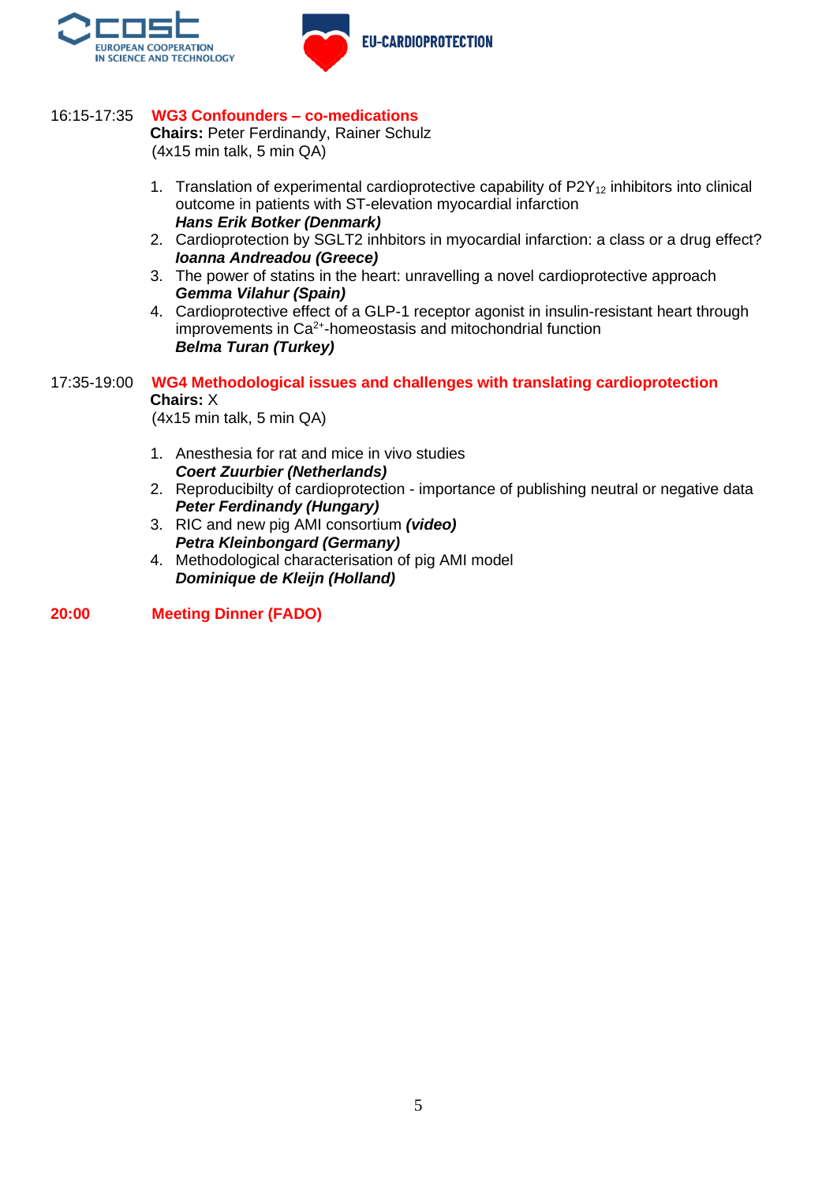



## 16:15-17:35 **WG3 Confounders – co-medications**

**Chairs:** Peter Ferdinandy, Rainer Schulz (4x15 min talk, 5 min QA)

- 1. Translation of experimental cardioprotective capability of  $P2Y_{12}$  inhibitors into clinical outcome in patients with ST-elevation myocardial infarction *Hans Erik Botker (Denmark)*
- 2. Cardioprotection by SGLT2 inhbitors in myocardial infarction: a class or a drug effect? *Ioanna Andreadou (Greece)*
- 3. The power of statins in the heart: unravelling a novel cardioprotective approach *Gemma Vilahur (Spain)*
- 4. Cardioprotective effect of a GLP-1 receptor agonist in insulin-resistant heart through improvements in Ca<sup>2+</sup>-homeostasis and mitochondrial function *Belma Turan (Turkey)*

## 17:35-19:00 **WG4 Methodological issues and challenges with translating cardioprotection Chairs:** X

(4x15 min talk, 5 min QA)

- 1. Anesthesia for rat and mice in vivo studies *Coert Zuurbier (Netherlands)*
- 2. Reproducibilty of cardioprotection importance of publishing neutral or negative data *Peter Ferdinandy (Hungary)*
- 3. RIC and new pig AMI consortium *(video) Petra Kleinbongard (Germany)*
- 4. Methodological characterisation of pig AMI model *Dominique de Kleijn (Holland)*

**20:00 Meeting Dinner (FADO)**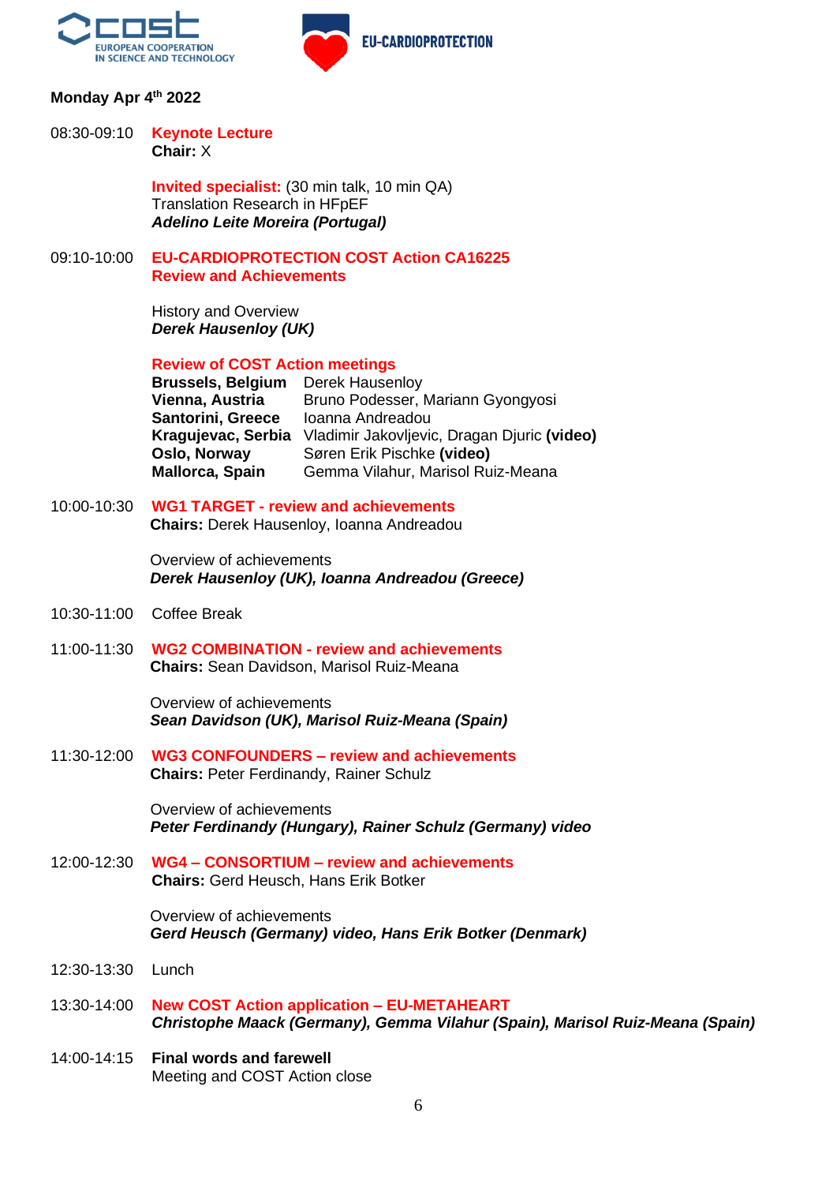

## **Monday Apr 4 th 2022**

#### 08:30-09:10 **Keynote Lecture Chair:** X

**Invited specialist:** (30 min talk, 10 min QA) Translation Research in HFpEF *Adelino Leite Moreira (Portugal)*

### 09:10-10:00 **EU-CARDIOPROTECTION COST Action CA16225 Review and Achievements**

History and Overview *Derek Hausenloy (UK)*

**Review of COST Action meetings** 

**Brussels, Belgium** Derek Hausenloy **Vienna, Austria** Bruno Podesser, Mariann Gyongyosi **Santorini, Greece** Ioanna Andreadou **Kragujevac, Serbia** Vladimir Jakovljevic, Dragan Djuric **(video) Oslo, Norway** Søren Erik Pischke **(video) Mallorca, Spain** Gemma Vilahur, Marisol Ruiz-Meana

## 10:00-10:30 **WG1 TARGET - review and achievements**

**Chairs:** Derek Hausenloy, Ioanna Andreadou

Overview of achievements *Derek Hausenloy (UK), Ioanna Andreadou (Greece)*

- 10:30-11:00 Coffee Break
- 11:00-11:30 **WG2 COMBINATION - review and achievements Chairs:** Sean Davidson, Marisol Ruiz-Meana

Overview of achievements *Sean Davidson (UK), Marisol Ruiz-Meana (Spain)*

11:30-12:00 **WG3 CONFOUNDERS – review and achievements Chairs:** Peter Ferdinandy, Rainer Schulz

> Overview of achievements *Peter Ferdinandy (Hungary), Rainer Schulz (Germany) video*

12:00-12:30 **WG4 – CONSORTIUM – review and achievements Chairs:** Gerd Heusch, Hans Erik Botker

> Overview of achievements *Gerd Heusch (Germany) video, Hans Erik Botker (Denmark)*

- 12:30-13:30 Lunch
- 13:30-14:00 **New COST Action application – EU-METAHEART** *Christophe Maack (Germany), Gemma Vilahur (Spain), Marisol Ruiz-Meana (Spain)*
- 14:00-14:15 **Final words and farewell** Meeting and COST Action close